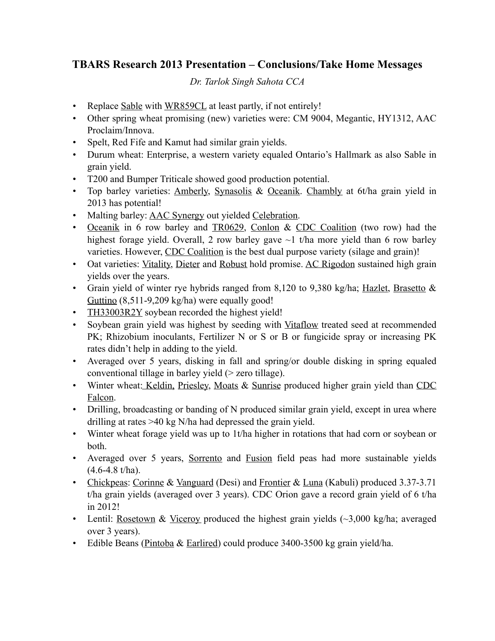## **TBARS Research 2013 Presentation – Conclusions/Take Home Messages**

*Dr. Tarlok Singh Sahota CCA*

- Replace Sable with WR859CL at least partly, if not entirely!
- Other spring wheat promising (new) varieties were: CM 9004, Megantic, HY1312, AAC Proclaim/Innova.
- Spelt, Red Fife and Kamut had similar grain yields.
- Durum wheat: Enterprise, a western variety equaled Ontario's Hallmark as also Sable in grain yield.
- T200 and Bumper Triticale showed good production potential.
- Top barley varieties: Amberly, Synasolis & Oceanik. Chambly at 6t/ha grain yield in 2013 has potential!
- Malting barley: AAC Synergy out yielded Celebration.
- Oceanik in 6 row barley and TR0629, Conlon & CDC Coalition (two row) had the highest forage yield. Overall, 2 row barley gave  $\sim$ 1 t/ha more yield than 6 row barley varieties. However, CDC Coalition is the best dual purpose variety (silage and grain)!
- Oat varieties: Vitality, Dieter and Robust hold promise. AC Rigodon sustained high grain yields over the years.
- Grain yield of winter rye hybrids ranged from 8,120 to 9,380 kg/ha; Hazlet, Brasetto & Guttino (8,511-9,209 kg/ha) were equally good!
- TH33003R2Y soybean recorded the highest yield!
- Soybean grain yield was highest by seeding with Vitaflow treated seed at recommended PK; Rhizobium inoculants, Fertilizer N or S or B or fungicide spray or increasing PK rates didn't help in adding to the yield.
- Averaged over 5 years, disking in fall and spring/or double disking in spring equaled conventional tillage in barley yield (> zero tillage).
- Winter wheat: Keldin, Priesley, Moats & Sunrise produced higher grain yield than CDC Falcon.
- Drilling, broadcasting or banding of N produced similar grain yield, except in urea where drilling at rates >40 kg N/ha had depressed the grain yield.
- Winter wheat forage yield was up to 1t/ha higher in rotations that had corn or soybean or both.
- Averaged over 5 years, Sorrento and Fusion field peas had more sustainable yields (4.6-4.8 t/ha).
- Chickpeas: Corinne & Vanguard (Desi) and Frontier & Luna (Kabuli) produced 3.37-3.71 t/ha grain yields (averaged over 3 years). CDC Orion gave a record grain yield of 6 t/ha in 2012!
- Lentil: Rosetown & Viceroy produced the highest grain yields  $(\sim 3,000 \text{ kg/ha})$ ; averaged over 3 years).
- Edible Beans (Pintoba & Earlired) could produce 3400-3500 kg grain yield/ha.